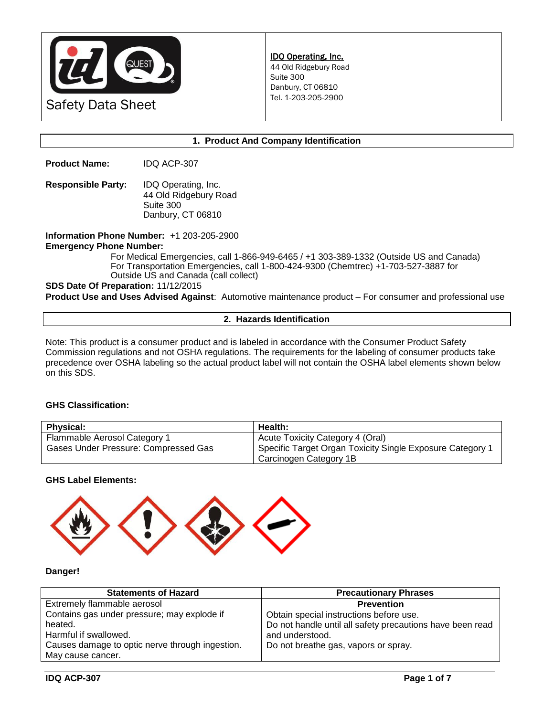

### **1. Product And Company Identification**

**Product Name:** IDQ ACP-307

**Responsible Party:** IDQ Operating, Inc. 44 Old Ridgebury Road Suite 300 Danbury, CT 06810

**Information Phone Number:** +1 203-205-2900 **Emergency Phone Number:** 

For Medical Emergencies, call 1-866-949-6465 / +1 303-389-1332 (Outside US and Canada) For Transportation Emergencies, call 1-800-424-9300 (Chemtrec) +1-703-527-3887 for Outside US and Canada (call collect)

**SDS Date Of Preparation:** 11/12/2015

**Product Use and Uses Advised Against**: Automotive maintenance product – For consumer and professional use

#### **2. Hazards Identification**

Note: This product is a consumer product and is labeled in accordance with the Consumer Product Safety Commission regulations and not OSHA regulations. The requirements for the labeling of consumer products take precedence over OSHA labeling so the actual product label will not contain the OSHA label elements shown below on this SDS.

## **GHS Classification:**

| <b>Physical:</b>                     | Health:                                                   |
|--------------------------------------|-----------------------------------------------------------|
| Flammable Aerosol Category 1         | Acute Toxicity Category 4 (Oral)                          |
| Gases Under Pressure: Compressed Gas | Specific Target Organ Toxicity Single Exposure Category 1 |
|                                      | Carcinogen Category 1B                                    |

**GHS Label Elements:** 



### **Danger!**

| <b>Precautionary Phrases</b>                              |
|-----------------------------------------------------------|
| <b>Prevention</b>                                         |
| Obtain special instructions before use.                   |
| Do not handle until all safety precautions have been read |
| and understood.                                           |
| Do not breathe gas, vapors or spray.                      |
|                                                           |
|                                                           |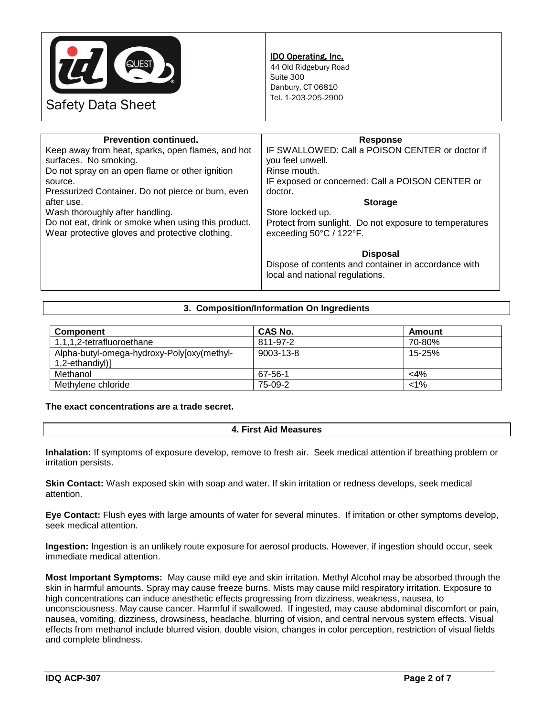

## IDQ Operating, Inc.

44 Old Ridgebury Road Suite 300 Danbury, CT 06810 Tel. 1-203-205-2900

Safety Data Sheet

| <b>Prevention continued.</b>                        | <b>Response</b>                                        |
|-----------------------------------------------------|--------------------------------------------------------|
| Keep away from heat, sparks, open flames, and hot   | IF SWALLOWED: Call a POISON CENTER or doctor if        |
| surfaces. No smoking.                               | you feel unwell.                                       |
| Do not spray on an open flame or other ignition     | Rinse mouth.                                           |
| source.                                             | IF exposed or concerned: Call a POISON CENTER or       |
| Pressurized Container. Do not pierce or burn, even  | doctor.                                                |
| after use.                                          | <b>Storage</b>                                         |
| Wash thoroughly after handling.                     | Store locked up.                                       |
| Do not eat, drink or smoke when using this product. | Protect from sunlight. Do not exposure to temperatures |
| Wear protective gloves and protective clothing.     | exceeding 50°C / 122°F.                                |
|                                                     |                                                        |
|                                                     | <b>Disposal</b>                                        |
|                                                     | Dispose of contents and container in accordance with   |
|                                                     | local and national regulations.                        |
|                                                     |                                                        |

## **3. Composition/Information On Ingredients**

| <b>Component</b>                           | <b>CAS No.</b>  | Amount  |
|--------------------------------------------|-----------------|---------|
| 1,1,1,2-tetrafluoroethane                  | 811-97-2        | 70-80%  |
| Alpha-butyl-omega-hydroxy-Poly[oxy(methyl- | $9003 - 13 - 8$ | 15-25%  |
| 1,2-ethandiyl)]                            |                 |         |
| Methanol                                   | 67-56-1         | $<$ 4%  |
| Methylene chloride                         | 75-09-2         | $< 1\%$ |

**The exact concentrations are a trade secret.**

## **4. First Aid Measures**

**Inhalation:** If symptoms of exposure develop, remove to fresh air. Seek medical attention if breathing problem or irritation persists.

**Skin Contact:** Wash exposed skin with soap and water. If skin irritation or redness develops, seek medical attention.

**Eye Contact:** Flush eyes with large amounts of water for several minutes. If irritation or other symptoms develop, seek medical attention.

**Ingestion:** Ingestion is an unlikely route exposure for aerosol products. However, if ingestion should occur, seek immediate medical attention.

**Most Important Symptoms:** May cause mild eye and skin irritation. Methyl Alcohol may be absorbed through the skin in harmful amounts. Spray may cause freeze burns. Mists may cause mild respiratory irritation. Exposure to high concentrations can induce anesthetic effects progressing from dizziness, weakness, nausea, to unconsciousness. May cause cancer. Harmful if swallowed. If ingested, may cause abdominal discomfort or pain, nausea, vomiting, dizziness, drowsiness, headache, blurring of vision, and central nervous system effects. Visual effects from methanol include blurred vision, double vision, changes in color perception, restriction of visual fields and complete blindness.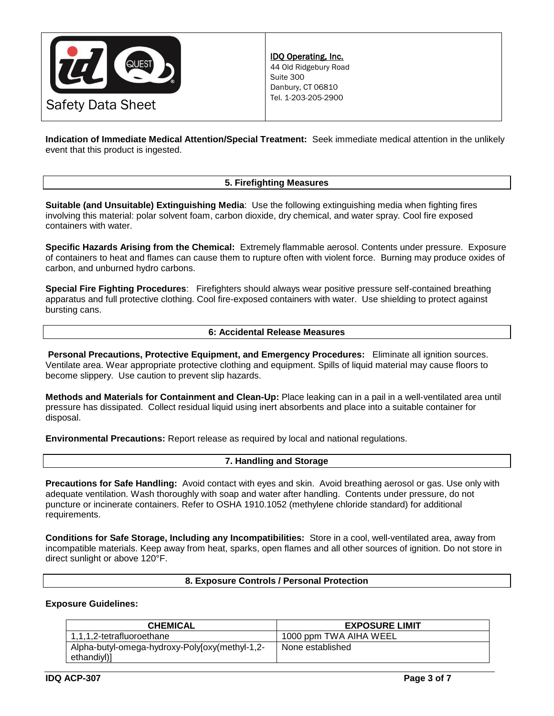

**Indication of Immediate Medical Attention/Special Treatment:** Seek immediate medical attention in the unlikely event that this product is ingested.

# **5. Firefighting Measures**

**Suitable (and Unsuitable) Extinguishing Media**: Use the following extinguishing media when fighting fires involving this material: polar solvent foam, carbon dioxide, dry chemical, and water spray. Cool fire exposed containers with water.

**Specific Hazards Arising from the Chemical:** Extremely flammable aerosol. Contents under pressure. Exposure of containers to heat and flames can cause them to rupture often with violent force. Burning may produce oxides of carbon, and unburned hydro carbons.

**Special Fire Fighting Procedures**: Firefighters should always wear positive pressure self-contained breathing apparatus and full protective clothing. Cool fire-exposed containers with water. Use shielding to protect against bursting cans.

#### **6: Accidental Release Measures**

**Personal Precautions, Protective Equipment, and Emergency Procedures:** Eliminate all ignition sources. Ventilate area. Wear appropriate protective clothing and equipment. Spills of liquid material may cause floors to become slippery. Use caution to prevent slip hazards.

**Methods and Materials for Containment and Clean-Up:** Place leaking can in a pail in a well-ventilated area until pressure has dissipated. Collect residual liquid using inert absorbents and place into a suitable container for disposal.

**Environmental Precautions:** Report release as required by local and national regulations.

### **7. Handling and Storage**

**Precautions for Safe Handling:** Avoid contact with eyes and skin. Avoid breathing aerosol or gas. Use only with adequate ventilation. Wash thoroughly with soap and water after handling. Contents under pressure, do not puncture or incinerate containers. Refer to OSHA 1910.1052 (methylene chloride standard) for additional requirements.

**Conditions for Safe Storage, Including any Incompatibilities:** Store in a cool, well-ventilated area, away from incompatible materials. Keep away from heat, sparks, open flames and all other sources of ignition. Do not store in direct sunlight or above 120°F.

### **8. Exposure Controls / Personal Protection**

### **Exposure Guidelines:**

| <b>CHEMICAL</b>                                | <b>EXPOSURE LIMIT</b>  |
|------------------------------------------------|------------------------|
| 1,1,1,2-tetrafluoroethane                      | 1000 ppm TWA AIHA WEEL |
| Alpha-butyl-omega-hydroxy-Poly[oxy(methyl-1,2- | None established       |
| ethandiyl)]                                    |                        |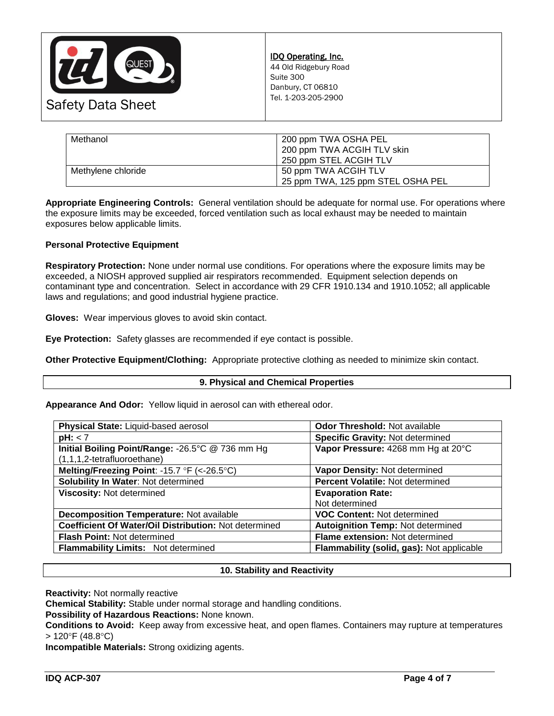

| Methanol           | 200 ppm TWA OSHA PEL<br>200 ppm TWA ACGIH TLV skin<br>250 ppm STEL ACGIH TLV |
|--------------------|------------------------------------------------------------------------------|
| Methylene chloride | 50 ppm TWA ACGIH TLV<br>25 ppm TWA, 125 ppm STEL OSHA PEL                    |

**Appropriate Engineering Controls:** General ventilation should be adequate for normal use. For operations where the exposure limits may be exceeded, forced ventilation such as local exhaust may be needed to maintain exposures below applicable limits.

## **Personal Protective Equipment**

**Respiratory Protection:** None under normal use conditions. For operations where the exposure limits may be exceeded, a NIOSH approved supplied air respirators recommended. Equipment selection depends on contaminant type and concentration. Select in accordance with 29 CFR 1910.134 and 1910.1052; all applicable laws and regulations; and good industrial hygiene practice.

**Gloves:** Wear impervious gloves to avoid skin contact.

**Eye Protection:** Safety glasses are recommended if eye contact is possible.

**Other Protective Equipment/Clothing:** Appropriate protective clothing as needed to minimize skin contact.

### **9. Physical and Chemical Properties**

**Appearance And Odor:** Yellow liquid in aerosol can with ethereal odor.

| Vapor Pressure: 4268 mm Hg at 20°C        |
|-------------------------------------------|
|                                           |
|                                           |
|                                           |
|                                           |
|                                           |
|                                           |
| <b>Autoignition Temp: Not determined</b>  |
|                                           |
| Flammability (solid, gas): Not applicable |
|                                           |

### **10. Stability and Reactivity**

**Reactivity:** Not normally reactive

**Chemical Stability:** Stable under normal storage and handling conditions.

**Possibility of Hazardous Reactions:** None known.

**Conditions to Avoid:** Keep away from excessive heat, and open flames. Containers may rupture at temperatures  $> 120^{\circ}$ F (48.8 $^{\circ}$ C)

**Incompatible Materials:** Strong oxidizing agents.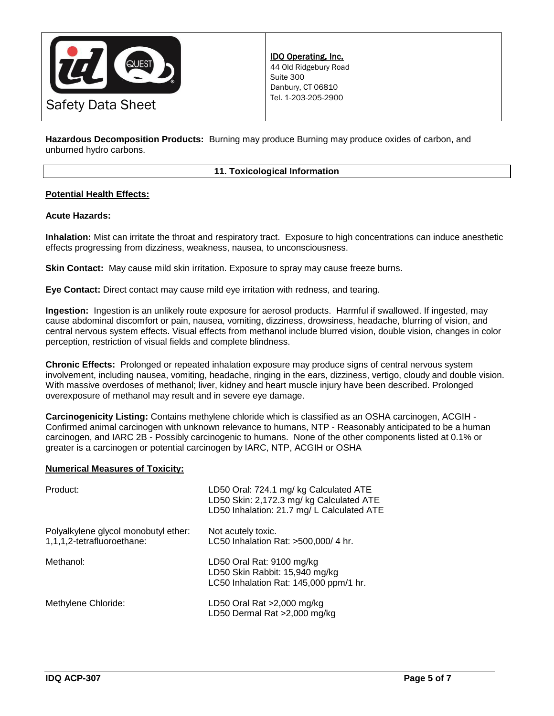

**Hazardous Decomposition Products:** Burning may produce Burning may produce oxides of carbon, and unburned hydro carbons.

### **11. Toxicological Information**

## **Potential Health Effects:**

### **Acute Hazards:**

**Inhalation:** Mist can irritate the throat and respiratory tract. Exposure to high concentrations can induce anesthetic effects progressing from dizziness, weakness, nausea, to unconsciousness.

**Skin Contact:** May cause mild skin irritation. Exposure to spray may cause freeze burns.

**Eye Contact:** Direct contact may cause mild eye irritation with redness, and tearing.

**Ingestion:** Ingestion is an unlikely route exposure for aerosol products. Harmful if swallowed. If ingested, may cause abdominal discomfort or pain, nausea, vomiting, dizziness, drowsiness, headache, blurring of vision, and central nervous system effects. Visual effects from methanol include blurred vision, double vision, changes in color perception, restriction of visual fields and complete blindness.

**Chronic Effects:** Prolonged or repeated inhalation exposure may produce signs of central nervous system involvement, including nausea, vomiting, headache, ringing in the ears, dizziness, vertigo, cloudy and double vision. With massive overdoses of methanol; liver, kidney and heart muscle injury have been described. Prolonged overexposure of methanol may result and in severe eye damage.

**Carcinogenicity Listing:** Contains methylene chloride which is classified as an OSHA carcinogen, ACGIH - Confirmed animal carcinogen with unknown relevance to humans, NTP - Reasonably anticipated to be a human carcinogen, and IARC 2B - Possibly carcinogenic to humans. None of the other components listed at 0.1% or greater is a carcinogen or potential carcinogen by IARC, NTP, ACGIH or OSHA

### **Numerical Measures of Toxicity:**

| Product:                                                           | LD50 Oral: 724.1 mg/ kg Calculated ATE<br>LD50 Skin: 2,172.3 mg/ kg Calculated ATE<br>LD50 Inhalation: 21.7 mg/ L Calculated ATE |
|--------------------------------------------------------------------|----------------------------------------------------------------------------------------------------------------------------------|
| Polyalkylene glycol monobutyl ether:<br>1,1,1,2-tetrafluoroethane: | Not acutely toxic.<br>LC50 Inhalation Rat: >500,000/ 4 hr.                                                                       |
| Methanol:                                                          | LD50 Oral Rat: 9100 mg/kg<br>LD50 Skin Rabbit: 15,940 mg/kg<br>LC50 Inhalation Rat: 145,000 ppm/1 hr.                            |
| Methylene Chloride:                                                | LD50 Oral Rat >2,000 mg/kg<br>LD50 Dermal Rat >2,000 mg/kg                                                                       |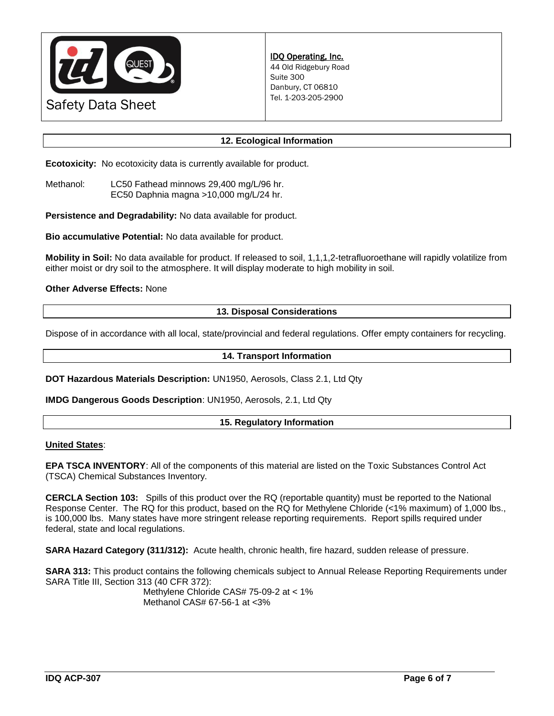

## **12. Ecological Information**

**Ecotoxicity:** No ecotoxicity data is currently available for product.

Methanol: LC50 Fathead minnows 29,400 mg/L/96 hr. EC50 Daphnia magna >10,000 mg/L/24 hr.

**Persistence and Degradability:** No data available for product.

**Bio accumulative Potential:** No data available for product.

**Mobility in Soil:** No data available for product. If released to soil, 1,1,1,2-tetrafluoroethane will rapidly volatilize from either moist or dry soil to the atmosphere. It will display moderate to high mobility in soil.

### **Other Adverse Effects:** None

#### **13. Disposal Considerations**

Dispose of in accordance with all local, state/provincial and federal regulations. Offer empty containers for recycling.

#### **14. Transport Information**

**DOT Hazardous Materials Description:** UN1950, Aerosols, Class 2.1, Ltd Qty

**IMDG Dangerous Goods Description**: UN1950, Aerosols, 2.1, Ltd Qty

### **15. Regulatory Information**

#### **United States**:

**EPA TSCA INVENTORY**: All of the components of this material are listed on the Toxic Substances Control Act (TSCA) Chemical Substances Inventory.

**CERCLA Section 103:** Spills of this product over the RQ (reportable quantity) must be reported to the National Response Center. The RQ for this product, based on the RQ for Methylene Chloride (<1% maximum) of 1,000 lbs., is 100,000 lbs. Many states have more stringent release reporting requirements. Report spills required under federal, state and local regulations.

**SARA Hazard Category (311/312):** Acute health, chronic health, fire hazard, sudden release of pressure.

**SARA 313:** This product contains the following chemicals subject to Annual Release Reporting Requirements under SARA Title III, Section 313 (40 CFR 372):

Methylene Chloride CAS# 75-09-2 at < 1% Methanol CAS# 67-56-1 at <3%